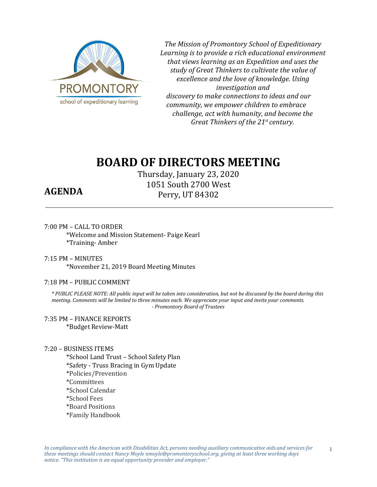

*The Mission of Promontory School of Expeditionary Learning is to provide a rich educational environment that views learning as an Expedition and uses the study of Great Thinkers to cultivate the value of excellence and the love of knowledge. Using investigation and discovery to make connections to ideas and our community, we empower children to embrace challenge, act with humanity, and become the Great Thinkers of the 21st century.*

# **BOARD OF DIRECTORS MEETING**

Thursday, January 23, 2020 1051 South 2700 West Perry, UT 84302

## **AGENDA**

### 7:00 PM – CALL TO ORDER

\*Welcome and Mission Statement- Paige Kearl \*Training- Amber

7:15 PM – MINUTES \*November 21, 2019 Board Meeting Minutes

### 7:18 PM – PUBLIC COMMENT

*\* PUBLIC PLEASE NOTE: All public input will be taken into consideration, but not be discussed by the board during this meeting. Comments will be limited to three minutes each. We appreciate your input and invite your comments. - Promontory Board of Trustees*

7:35 PM – FINANCE REPORTS \*Budget Review-Matt

### 7:20 – BUSINESS ITEMS

\*School Land Trust – School Safety Plan \*Safety - Truss Bracing in Gym Update \*Policies/Prevention \*Committees \*School Calendar \*School Fees \*Board Positions \*Family Handbook